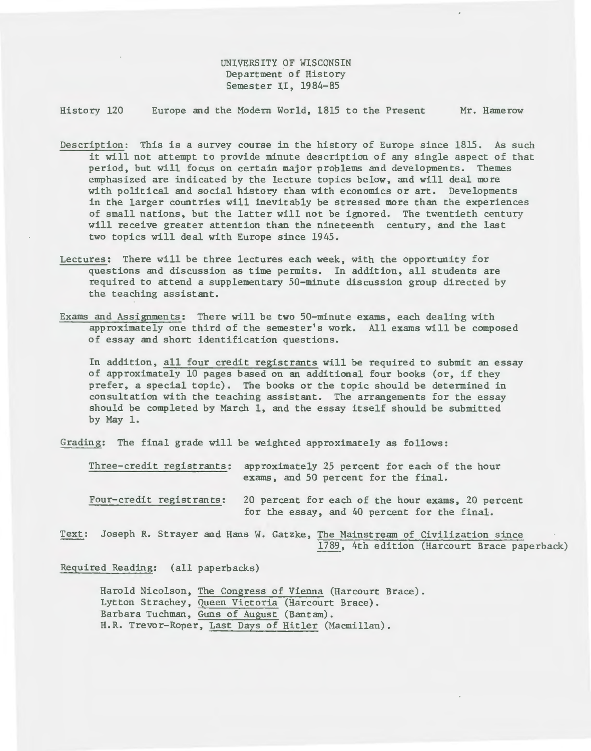UNIVERSITY OF WISCONSIN Department of History Semester II, 1984-85

History 120 Europe and the Modern World, 1815 to the Present Mr. Hamerow

- Description: This is a survey course in the history of Europe since 1815. As such it will not attempt to provide minute description of any single aspect of that period, but will focus on certain major problems and developments. Themes emphasized are indicated by the lecture topics below, and will deal more with political and social history than with economics or art. Developments in the larger countries will inevitably be stressed more than the experiences of small nations, but the latter will not be ignored. The twentieth century will receive greater attention than the nineteenth century, and the last two topics will deal with Europe since 1945.
- Lectures: There will be three lectures each week, with the opportunity for questions and discussion as time permits. In addition, all students are required to attend a supplementary 50-minute discussion group directed by the teaching assistant.
- Exams and Assignments: There will be two 50-minute exams, each dealing with approximately one third of the semester's work. All exams will be composed of essay and short identification questions.

In addition, all four credit registrants will be required to submit an essay of approximately 10 pages based on an additional four books (or, if they prefer, a special topic). The books or the topic should be determined in consultation with the teaching assistant. The arrangements for the essay should be completed by March 1, and the essay itself should be submitted by May 1.

Grading: The final grade will be weighted approximately as follows:

Three-credit registrants: approximately 25 percent for each of the hour exams, and 50 percent for the final.

Four-credit registrants: 20 percent for each of the hour exams, 20 percent for the essay, and 40 percent for the final.

Text: Joseph R. Strayer and Hans W. Gatzke, The Mainstream of Civilization since 1789, 4th edition (Harcourt Brace paperback)

Required Reading: (all paperbacks)

Harold Nicolson, The Congress of Vienna (Harcourt Brace). Lytton Strachey, Queen Victoria (Harcourt Brace). Barbara Tuchman, Guns of August (Bantam). H.R. Trevor-Roper, Last Days of Hitler (Macmillan).